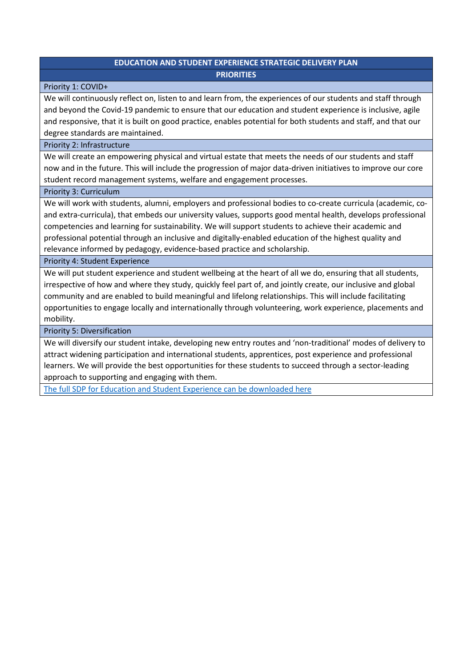# **EDUCATION AND STUDENT EXPERIENCE STRATEGIC DELIVERY PLAN PRIORITIES**

## Priority 1: COVID+

We will continuously reflect on, listen to and learn from, the experiences of our students and staff through and beyond the Covid-19 pandemic to ensure that our education and student experience is inclusive, agile and responsive, that it is built on good practice, enables potential for both students and staff, and that our degree standards are maintained.

#### Priority 2: Infrastructure

We will create an empowering physical and virtual estate that meets the needs of our students and staff now and in the future. This will include the progression of major data-driven initiatives to improve our core student record management systems, welfare and engagement processes.

#### Priority 3: Curriculum

We will work with students, alumni, employers and professional bodies to co-create curricula (academic, coand extra-curricula), that embeds our university values, supports good mental health, develops professional competencies and learning for sustainability. We will support students to achieve their academic and professional potential through an inclusive and digitally-enabled education of the highest quality and relevance informed by pedagogy, evidence-based practice and scholarship.

Priority 4: Student Experience

We will put student experience and student wellbeing at the heart of all we do, ensuring that all students, irrespective of how and where they study, quickly feel part of, and jointly create, our inclusive and global community and are enabled to build meaningful and lifelong relationships. This will include facilitating opportunities to engage locally and internationally through volunteering, work experience, placements and mobility.

Priority 5: Diversification

We will diversify our student intake, developing new entry routes and 'non-traditional' modes of delivery to attract widening participation and international students, apprentices, post experience and professional learners. We will provide the best opportunities for these students to succeed through a sector-leading approach to supporting and engaging with them.

[The full SDP for Education and Student Experience can be downloaded here](https://www.nottingham.ac.uk/strategy/documents/ese-strategic-delivery-plan-approved-final-09.04.21.pdf)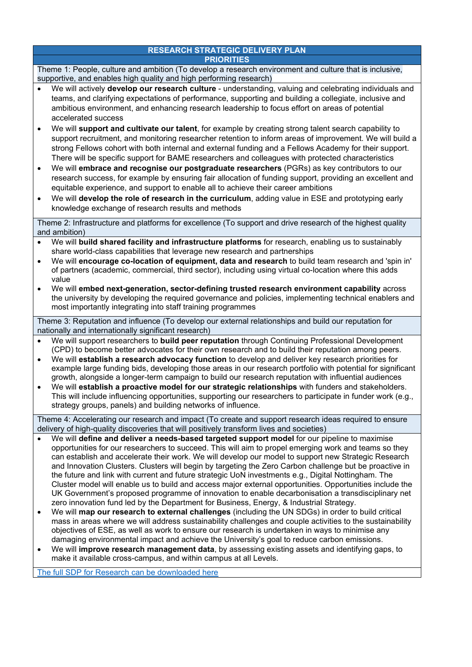#### **RESEARCH STRATEGIC DELIVERY PLAN PRIORITIES**

|                                                                                                                                                                                                    | . <del>.</del> .                                                                                                                                                                                                                                                                                                                                                                                                                                                                                                                                                                                                                                                                                                                                                                                                                                                                                                                                                                                                                                                                                                                                                                                                                                                                                                                                                     |
|----------------------------------------------------------------------------------------------------------------------------------------------------------------------------------------------------|----------------------------------------------------------------------------------------------------------------------------------------------------------------------------------------------------------------------------------------------------------------------------------------------------------------------------------------------------------------------------------------------------------------------------------------------------------------------------------------------------------------------------------------------------------------------------------------------------------------------------------------------------------------------------------------------------------------------------------------------------------------------------------------------------------------------------------------------------------------------------------------------------------------------------------------------------------------------------------------------------------------------------------------------------------------------------------------------------------------------------------------------------------------------------------------------------------------------------------------------------------------------------------------------------------------------------------------------------------------------|
| Theme 1: People, culture and ambition (To develop a research environment and culture that is inclusive,<br>supportive, and enables high quality and high performing research)                      |                                                                                                                                                                                                                                                                                                                                                                                                                                                                                                                                                                                                                                                                                                                                                                                                                                                                                                                                                                                                                                                                                                                                                                                                                                                                                                                                                                      |
| $\bullet$                                                                                                                                                                                          | We will actively develop our research culture - understanding, valuing and celebrating individuals and<br>teams, and clarifying expectations of performance, supporting and building a collegiate, inclusive and<br>ambitious environment, and enhancing research leadership to focus effort on areas of potential<br>accelerated success<br>We will support and cultivate our talent, for example by creating strong talent search capability to<br>support recruitment, and monitoring researcher retention to inform areas of improvement. We will build a<br>strong Fellows cohort with both internal and external funding and a Fellows Academy for their support.<br>There will be specific support for BAME researchers and colleagues with protected characteristics<br>We will embrace and recognise our postgraduate researchers (PGRs) as key contributors to our                                                                                                                                                                                                                                                                                                                                                                                                                                                                                         |
|                                                                                                                                                                                                    | research success, for example by ensuring fair allocation of funding support, providing an excellent and<br>equitable experience, and support to enable all to achieve their career ambitions<br>We will develop the role of research in the curriculum, adding value in ESE and prototyping early<br>knowledge exchange of research results and methods                                                                                                                                                                                                                                                                                                                                                                                                                                                                                                                                                                                                                                                                                                                                                                                                                                                                                                                                                                                                             |
|                                                                                                                                                                                                    | Theme 2: Infrastructure and platforms for excellence (To support and drive research of the highest quality<br>and ambition)                                                                                                                                                                                                                                                                                                                                                                                                                                                                                                                                                                                                                                                                                                                                                                                                                                                                                                                                                                                                                                                                                                                                                                                                                                          |
| $\bullet$                                                                                                                                                                                          | We will build shared facility and infrastructure platforms for research, enabling us to sustainably<br>share world-class capabilities that leverage new research and partnerships<br>We will encourage co-location of equipment, data and research to build team research and 'spin in'<br>of partners (academic, commercial, third sector), including using virtual co-location where this adds<br>value<br>We will embed next-generation, sector-defining trusted research environment capability across<br>the university by developing the required governance and policies, implementing technical enablers and<br>most importantly integrating into staff training programmes                                                                                                                                                                                                                                                                                                                                                                                                                                                                                                                                                                                                                                                                                  |
| Theme 3: Reputation and influence (To develop our external relationships and build our reputation for<br>nationally and internationally significant research)                                      |                                                                                                                                                                                                                                                                                                                                                                                                                                                                                                                                                                                                                                                                                                                                                                                                                                                                                                                                                                                                                                                                                                                                                                                                                                                                                                                                                                      |
| $\bullet$<br>$\bullet$                                                                                                                                                                             | We will support researchers to build peer reputation through Continuing Professional Development<br>(CPD) to become better advocates for their own research and to build their reputation among peers.<br>We will establish a research advocacy function to develop and deliver key research priorities for<br>example large funding bids, developing those areas in our research portfolio with potential for significant<br>growth, alongside a longer-term campaign to build our research reputation with influential audiences<br>We will establish a proactive model for our strategic relationships with funders and stakeholders.<br>This will include influencing opportunities, supporting our researchers to participate in funder work (e.g.,<br>strategy groups, panels) and building networks of influence.                                                                                                                                                                                                                                                                                                                                                                                                                                                                                                                                             |
| Theme 4: Accelerating our research and impact (To create and support research ideas required to ensure<br>delivery of high-quality discoveries that will positively transform lives and societies) |                                                                                                                                                                                                                                                                                                                                                                                                                                                                                                                                                                                                                                                                                                                                                                                                                                                                                                                                                                                                                                                                                                                                                                                                                                                                                                                                                                      |
| $\bullet$                                                                                                                                                                                          | We will define and deliver a needs-based targeted support model for our pipeline to maximise<br>opportunities for our researchers to succeed. This will aim to propel emerging work and teams so they<br>can establish and accelerate their work. We will develop our model to support new Strategic Research<br>and Innovation Clusters. Clusters will begin by targeting the Zero Carbon challenge but be proactive in<br>the future and link with current and future strategic UoN investments e.g., Digital Nottingham. The<br>Cluster model will enable us to build and access major external opportunities. Opportunities include the<br>UK Government's proposed programme of innovation to enable decarbonisation a transdisciplinary net<br>zero innovation fund led by the Department for Business, Energy, & Industrial Strategy.<br>We will map our research to external challenges (including the UN SDGs) in order to build critical<br>mass in areas where we will address sustainability challenges and couple activities to the sustainability<br>objectives of ESE, as well as work to ensure our research is undertaken in ways to minimise any<br>damaging environmental impact and achieve the University's goal to reduce carbon emissions.<br>We will improve research management data, by assessing existing assets and identifying gaps, to |

make it available cross-campus, and within campus at all Levels.

[The full SDP for Research can be downloaded here](https://www.nottingham.ac.uk/strategy/documents/research-2022-27-sdp-v1.0final.pdf)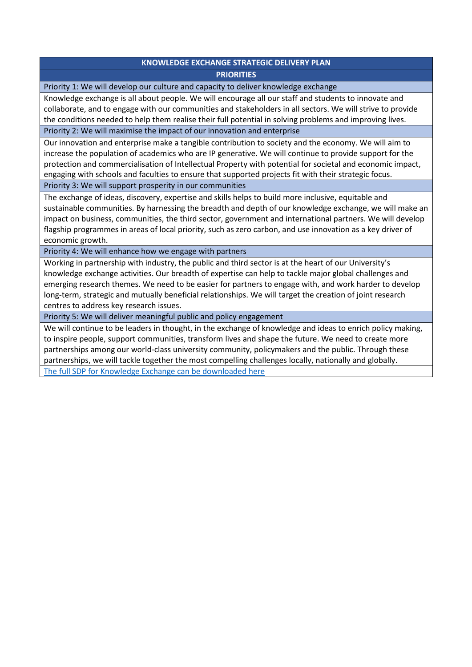# **KNOWLEDGE EXCHANGE STRATEGIC DELIVERY PLAN PRIORITIES**

Priority 1: We will develop our culture and capacity to deliver knowledge exchange

Knowledge exchange is all about people. We will encourage all our staff and students to innovate and collaborate, and to engage with our communities and stakeholders in all sectors. We will strive to provide the conditions needed to help them realise their full potential in solving problems and improving lives.

Priority 2: We will maximise the impact of our innovation and enterprise

Our innovation and enterprise make a tangible contribution to society and the economy. We will aim to increase the population of academics who are IP generative. We will continue to provide support for the protection and commercialisation of Intellectual Property with potential for societal and economic impact, engaging with schools and faculties to ensure that supported projects fit with their strategic focus.

Priority 3: We will support prosperity in our communities

The exchange of ideas, discovery, expertise and skills helps to build more inclusive, equitable and sustainable communities. By harnessing the breadth and depth of our knowledge exchange, we will make an impact on business, communities, the third sector, government and international partners. We will develop flagship programmes in areas of local priority, such as zero carbon, and use innovation as a key driver of economic growth.

Priority 4: We will enhance how we engage with partners

Working in partnership with industry, the public and third sector is at the heart of our University's knowledge exchange activities. Our breadth of expertise can help to tackle major global challenges and emerging research themes. We need to be easier for partners to engage with, and work harder to develop long-term, strategic and mutually beneficial relationships. We will target the creation of joint research centres to address key research issues.

Priority 5: We will deliver meaningful public and policy engagement

We will continue to be leaders in thought, in the exchange of knowledge and ideas to enrich policy making, to inspire people, support communities, transform lives and shape the future. We need to create more partnerships among our world-class university community, policymakers and the public. Through these partnerships, we will tackle together the most compelling challenges locally, nationally and globally. [The full SDP for Knowledge Exchange can be downloaded here](https://www.nottingham.ac.uk/Strategy/documents/KE-Strategic-Delivery-Plan-for-Publication-Final.pdf)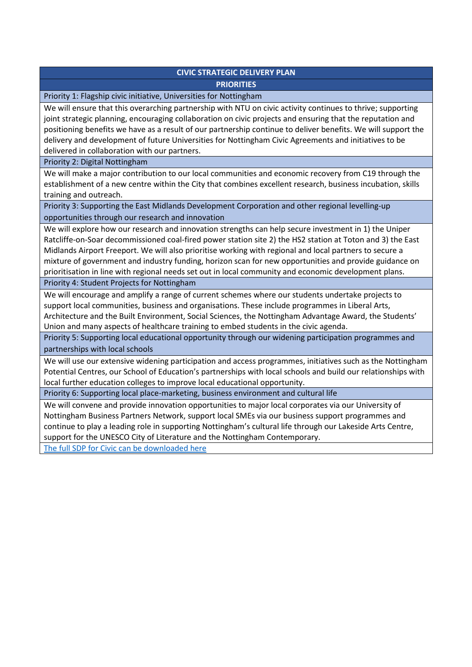# **CIVIC STRATEGIC DELIVERY PLAN PRIORITIES**

Priority 1: Flagship civic initiative, Universities for Nottingham

We will ensure that this overarching partnership with NTU on civic activity continues to thrive; supporting joint strategic planning, encouraging collaboration on civic projects and ensuring that the reputation and positioning benefits we have as a result of our partnership continue to deliver benefits. We will support the delivery and development of future Universities for Nottingham Civic Agreements and initiatives to be delivered in collaboration with our partners.

Priority 2: Digital Nottingham

We will make a major contribution to our local communities and economic recovery from C19 through the establishment of a new centre within the City that combines excellent research, business incubation, skills training and outreach.

Priority 3: Supporting the East Midlands Development Corporation and other regional levelling-up opportunities through our research and innovation

We will explore how our research and innovation strengths can help secure investment in 1) the Uniper Ratcliffe-on-Soar decommissioned coal-fired power station site 2) the HS2 station at Toton and 3) the East Midlands Airport Freeport. We will also prioritise working with regional and local partners to secure a mixture of government and industry funding, horizon scan for new opportunities and provide guidance on prioritisation in line with regional needs set out in local community and economic development plans.

Priority 4: Student Projects for Nottingham

We will encourage and amplify a range of current schemes where our students undertake projects to support local communities, business and organisations. These include programmes in Liberal Arts, Architecture and the Built Environment, Social Sciences, the Nottingham Advantage Award, the Students' Union and many aspects of healthcare training to embed students in the civic agenda.

Priority 5: Supporting local educational opportunity through our widening participation programmes and partnerships with local schools

We will use our extensive widening participation and access programmes, initiatives such as the Nottingham Potential Centres, our School of Education's partnerships with local schools and build our relationships with local further education colleges to improve local educational opportunity.

Priority 6: Supporting local place-marketing, business environment and cultural life

We will convene and provide innovation opportunities to major local corporates via our University of Nottingham Business Partners Network, support local SMEs via our business support programmes and continue to play a leading role in supporting Nottingham's cultural life through our Lakeside Arts Centre, support for the UNESCO City of Literature and the Nottingham Contemporary.

[The full SDP for Civic can be downloaded here](https://www.nottingham.ac.uk/Strategy/documents/Civic-SDP-v1.3-26.5.21.pdf)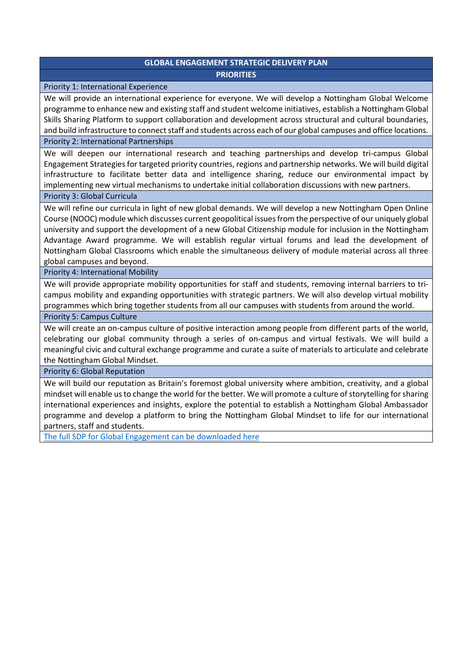# **GLOBAL ENGAGEMENT STRATEGIC DELIVERY PLAN PRIORITIES**

#### Priority 1: International Experience

We will provide an international experience for everyone. We will develop a Nottingham Global Welcome programme to enhance new and existing staff and student welcome initiatives, establish a Nottingham Global Skills Sharing Platform to support collaboration and development across structural and cultural boundaries, and build infrastructure to connect staff and students across each of our global campuses and office locations.

#### Priority 2: International Partnerships

We will deepen our international research and teaching partnerships and develop tri-campus Global Engagement Strategies for targeted priority countries, regions and partnership networks. We will build digital infrastructure to facilitate better data and intelligence sharing, reduce our environmental impact by implementing new virtual mechanisms to undertake initial collaboration discussions with new partners.

#### Priority 3: Global Curricula

We will refine our curricula in light of new global demands. We will develop a new Nottingham Open Online Course (NOOC) module which discusses current geopolitical issues from the perspective of our uniquely global university and support the development of a new Global Citizenship module for inclusion in the Nottingham Advantage Award programme. We will establish regular virtual forums and lead the development of Nottingham Global Classrooms which enable the simultaneous delivery of module material across all three global campuses and beyond.

### Priority 4: International Mobility

We will provide appropriate mobility opportunities for staff and students, removing internal barriers to tricampus mobility and expanding opportunities with strategic partners. We will also develop virtual mobility programmes which bring together students from all our campuses with students from around the world.

#### Priority 5: Campus Culture

We will create an on-campus culture of positive interaction among people from different parts of the world, celebrating our global community through a series of on-campus and virtual festivals. We will build a meaningful civic and cultural exchange programme and curate a suite of materials to articulate and celebrate the Nottingham Global Mindset.

### Priority 6: Global Reputation

We will build our reputation as Britain's foremost global university where ambition, creativity, and a global mindset will enable us to change the world for the better. We will promote a culture of storytelling for sharing international experiences and insights, explore the potential to establish a Nottingham Global Ambassador programme and develop a platform to bring the Nottingham Global Mindset to life for our international partners, staff and students.

[The full SDP for Global Engagement can be downloaded here](https://www.nottingham.ac.uk/Strategy/documents/Global-Engagement-Strategic-Delivery-Plan-vOnline.pdf)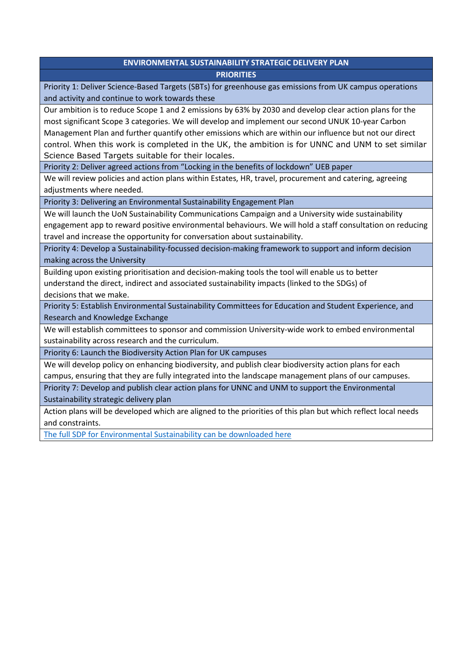# **ENVIRONMENTAL SUSTAINABILITY STRATEGIC DELIVERY PLAN PRIORITIES**

Priority 1: Deliver Science-Based Targets (SBTs) for greenhouse gas emissions from UK campus operations and activity and continue to work towards these

Our ambition is to reduce Scope 1 and 2 emissions by 63% by 2030 and develop clear action plans for the most significant Scope 3 categories. We will develop and implement our second UNUK 10-year Carbon Management Plan and further quantify other emissions which are within our influence but not our direct control. When this work is completed in the UK, the ambition is for UNNC and UNM to set similar Science Based Targets suitable for their locales.

Priority 2: Deliver agreed actions from "Locking in the benefits of lockdown" UEB paper

We will review policies and action plans within Estates, HR, travel, procurement and catering, agreeing adjustments where needed.

Priority 3: Delivering an Environmental Sustainability Engagement Plan

We will launch the UoN Sustainability Communications Campaign and a University wide sustainability engagement app to reward positive environmental behaviours. We will hold a staff consultation on reducing travel and increase the opportunity for conversation about sustainability.

Priority 4: Develop a Sustainability-focussed decision-making framework to support and inform decision making across the University

Building upon existing prioritisation and decision-making tools the tool will enable us to better understand the direct, indirect and associated sustainability impacts (linked to the SDGs) of decisions that we make.

Priority 5: Establish Environmental Sustainability Committees for Education and Student Experience, and Research and Knowledge Exchange

We will establish committees to sponsor and commission University-wide work to embed environmental sustainability across research and the curriculum.

Priority 6: Launch the Biodiversity Action Plan for UK campuses

We will develop policy on enhancing biodiversity, and publish clear biodiversity action plans for each campus, ensuring that they are fully integrated into the landscape management plans of our campuses.

Priority 7: Develop and publish clear action plans for UNNC and UNM to support the Environmental Sustainability strategic delivery plan

Action plans will be developed which are aligned to the priorities of this plan but which reflect local needs and constraints.

[The full SDP for Environmental Sustainability can be downloaded here](https://www.nottingham.ac.uk/strategy/documents/environmental-sustainability-strategic-delivery-plan-2021.pdf)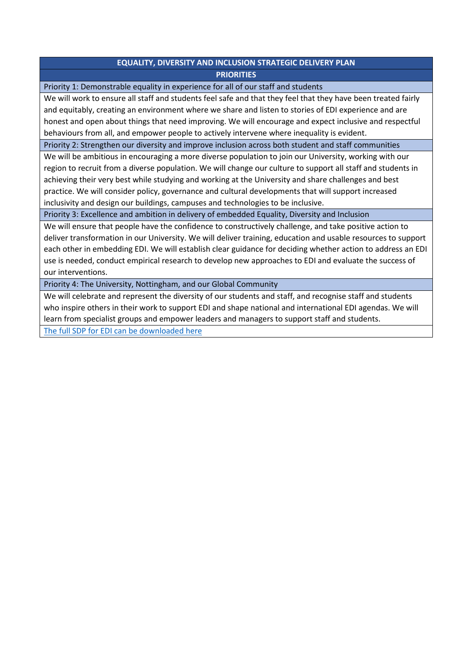# **EQUALITY, DIVERSITY AND INCLUSION STRATEGIC DELIVERY PLAN PRIORITIES**

Priority 1: Demonstrable equality in experience for all of our staff and students

We will work to ensure all staff and students feel safe and that they feel that they have been treated fairly and equitably, creating an environment where we share and listen to stories of EDI experience and are honest and open about things that need improving. We will encourage and expect inclusive and respectful behaviours from all, and empower people to actively intervene where inequality is evident.

Priority 2: Strengthen our diversity and improve inclusion across both student and staff communities

We will be ambitious in encouraging a more diverse population to join our University, working with our region to recruit from a diverse population. We will change our culture to support all staff and students in achieving their very best while studying and working at the University and share challenges and best practice. We will consider policy, governance and cultural developments that will support increased inclusivity and design our buildings, campuses and technologies to be inclusive.

Priority 3: Excellence and ambition in delivery of embedded Equality, Diversity and Inclusion

We will ensure that people have the confidence to constructively challenge, and take positive action to deliver transformation in our University. We will deliver training, education and usable resources to support each other in embedding EDI. We will establish clear guidance for deciding whether action to address an EDI use is needed, conduct empirical research to develop new approaches to EDI and evaluate the success of our interventions.

Priority 4: The University, Nottingham, and our Global Community

We will celebrate and represent the diversity of our students and staff, and recognise staff and students who inspire others in their work to support EDI and shape national and international EDI agendas. We will learn from specialist groups and empower leaders and managers to support staff and students.

[The full SDP for EDI can be downloaded here](https://www.nottingham.ac.uk/edi/documents/strategic-delivery-plan/edi-strategic-delivery-plan.pdf)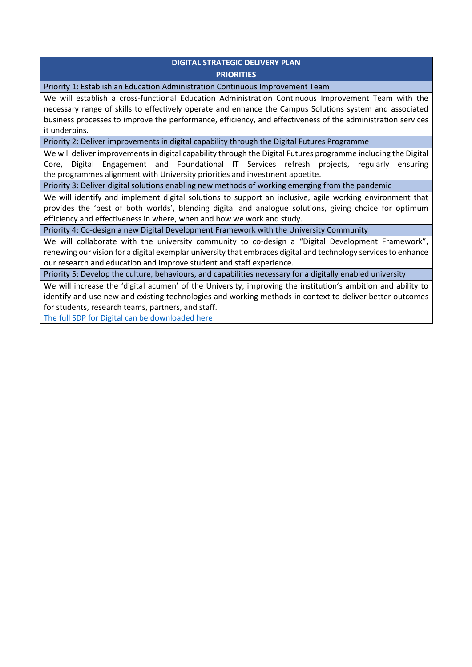## **DIGITAL STRATEGIC DELIVERY PLAN PRIORITIES**

Priority 1: Establish an Education Administration Continuous Improvement Team

We will establish a cross-functional Education Administration Continuous Improvement Team with the necessary range of skills to effectively operate and enhance the Campus Solutions system and associated business processes to improve the performance, efficiency, and effectiveness of the administration services it underpins.

Priority 2: Deliver improvements in digital capability through the Digital Futures Programme

We will deliver improvements in digital capability through the Digital Futures programme including the Digital Core, Digital Engagement and Foundational IT Services refresh projects, regularly ensuring the programmes alignment with University priorities and investment appetite.

Priority 3: Deliver digital solutions enabling new methods of working emerging from the pandemic

We will identify and implement digital solutions to support an inclusive, agile working environment that provides the 'best of both worlds', blending digital and analogue solutions, giving choice for optimum efficiency and effectiveness in where, when and how we work and study.

Priority 4: Co-design a new Digital Development Framework with the University Community

We will collaborate with the university community to co-design a "Digital Development Framework", renewing our vision for a digital exemplar university that embraces digital and technology services to enhance our research and education and improve student and staff experience.

Priority 5: Develop the culture, behaviours, and capabilities necessary for a digitally enabled university

We will increase the 'digital acumen' of the University, improving the institution's ambition and ability to identify and use new and existing technologies and working methods in context to deliver better outcomes for students, research teams, partners, and staff.

[The full SDP for Digital can be downloaded here](https://www.nottingham.ac.uk/Strategy/documents/Digital-Strategic-Delivery-Plan.pdf)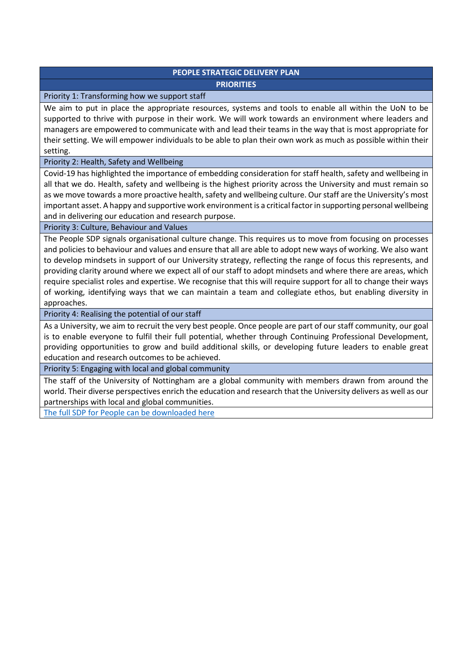# **PEOPLE STRATEGIC DELIVERY PLAN PRIORITIES**

## Priority 1: Transforming how we support staff

We aim to put in place the appropriate resources, systems and tools to enable all within the UoN to be supported to thrive with purpose in their work. We will work towards an environment where leaders and managers are empowered to communicate with and lead their teams in the way that is most appropriate for their setting. We will empower individuals to be able to plan their own work as much as possible within their setting.

# Priority 2: Health, Safety and Wellbeing

Covid-19 has highlighted the importance of embedding consideration for staff health, safety and wellbeing in all that we do. Health, safety and wellbeing is the highest priority across the University and must remain so as we move towards a more proactive health, safety and wellbeing culture. Our staff are the University's most important asset. A happy and supportive work environment is a critical factor in supporting personal wellbeing and in delivering our education and research purpose.

### Priority 3: Culture, Behaviour and Values

The People SDP signals organisational culture change. This requires us to move from focusing on processes and policies to behaviour and values and ensure that all are able to adopt new ways of working. We also want to develop mindsets in support of our University strategy, reflecting the range of focus this represents, and providing clarity around where we expect all of our staff to adopt mindsets and where there are areas, which require specialist roles and expertise. We recognise that this will require support for all to change their ways of working, identifying ways that we can maintain a team and collegiate ethos, but enabling diversity in approaches.

Priority 4: Realising the potential of our staff

As a University, we aim to recruit the very best people. Once people are part of our staff community, our goal is to enable everyone to fulfil their full potential, whether through Continuing Professional Development, providing opportunities to grow and build additional skills, or developing future leaders to enable great education and research outcomes to be achieved.

Priority 5: Engaging with local and global community

The staff of the University of Nottingham are a global community with members drawn from around the world. Their diverse perspectives enrich the education and research that the University delivers as well as our partnerships with local and global communities.

[The full SDP for People can be downloaded here](https://www.nottingham.ac.uk/strategy/documents/strategic-delivery-plan-people-april-2021-004.pdf)